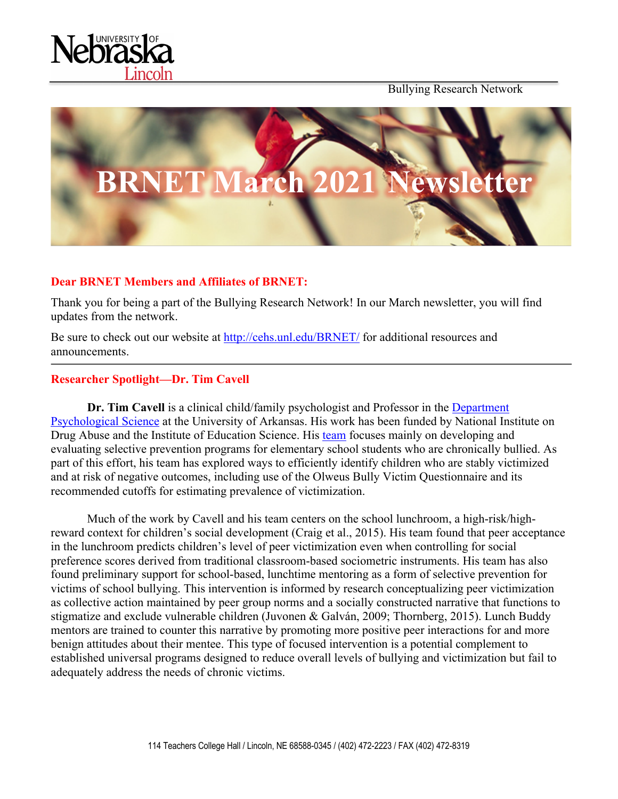

Bullying Research Network



## **Dear BRNET Members and Affiliates of BRNET:**

Thank you for being a part of the Bullying Research Network! In our March newsletter, you will find updates from the network.

Be sure to check out our website at http://cehs.unl.edu/BRNET/ for additional resources and announcements.

#### **Researcher Spotlight—Dr. Tim Cavell**

**Dr. Tim Cavell** is a clinical child/family psychologist and Professor in the Department Psychological Science [at the University of Arkansas. His work has been funded by National In](https://fulbright.uark.edu/departments/psychological-science/people/index/uid/tcavell/name/Tim+Cavell/)stitute on Drug Abuse and the Institute of Education Science. His [team](https://crav.uark.edu/) focuses mainly on developing and evaluating selective prevention programs for elementary school students who are chronically bullied. As part of this effort, his team has explored ways to efficiently identify children who are stably victimized and at risk of negative outcomes, including use of the Olweus Bully Victim Questionnaire and its recommended cutoffs for estimating prevalence of victimization.

Much of the work by Cavell and his team centers on the school lunchroom, a high-risk/highreward context for children's social development (Craig et al., 2015). His team found that peer acceptance in the lunchroom predicts children's level of peer victimization even when controlling for social preference scores derived from traditional classroom-based sociometric instruments. His team has also found preliminary support for school-based, lunchtime mentoring as a form of selective prevention for victims of school bullying. This intervention is informed by research conceptualizing peer victimization as collective action maintained by peer group norms and a socially constructed narrative that functions to stigmatize and exclude vulnerable children (Juvonen & Galván, 2009; Thornberg, 2015). Lunch Buddy mentors are trained to counter this narrative by promoting more positive peer interactions for and more benign attitudes about their mentee. This type of focused intervention is a potential complement to established universal programs designed to reduce overall levels of bullying and victimization but fail to adequately address the needs of chronic victims.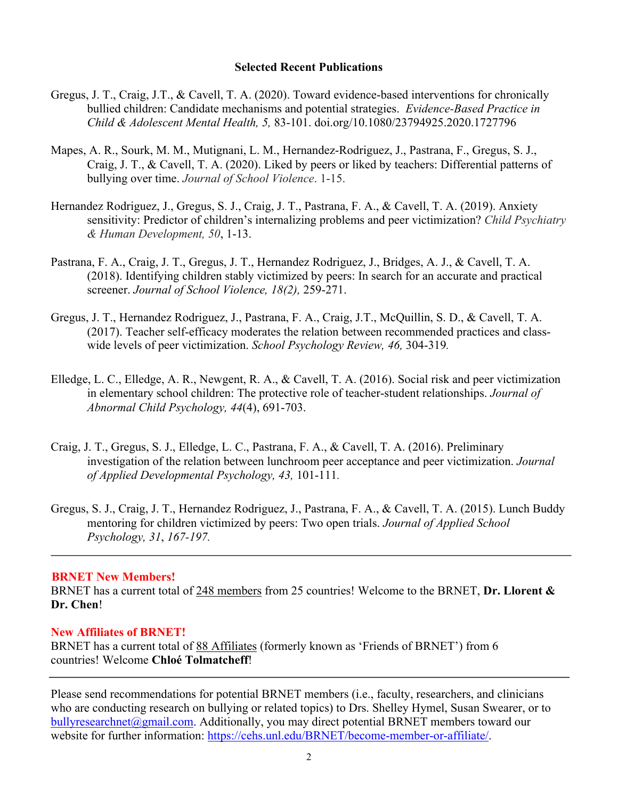## **Selected Recent Publications**

- Gregus, J. T., Craig, J.T., & Cavell, T. A. (2020). Toward evidence-based interventions for chronically bullied children: Candidate mechanisms and potential strategies. *Evidence-Based Practice in Child & Adolescent Mental Health, 5,* 83-101. doi.org/10.1080/23794925.2020.1727796
- Mapes, A. R., Sourk, M. M., Mutignani, L. M., Hernandez-Rodriguez, J., Pastrana, F., Gregus, S. J., Craig, J. T., & Cavell, T. A. (2020). Liked by peers or liked by teachers: Differential patterns of bullying over time. *Journal of School Violence*. 1-15.
- Hernandez Rodriguez, J., Gregus, S. J., Craig, J. T., Pastrana, F. A., & Cavell, T. A. (2019). Anxiety sensitivity: Predictor of children's internalizing problems and peer victimization? *Child Psychiatry & Human Development, 50*, 1-13.
- Pastrana, F. A., Craig, J. T., Gregus, J. T., Hernandez Rodriguez, J., Bridges, A. J., & Cavell, T. A. (2018). Identifying children stably victimized by peers: In search for an accurate and practical screener. *Journal of School Violence, 18(2),* 259-271.
- Gregus, J. T., Hernandez Rodriguez, J., Pastrana, F. A., Craig, J.T., McQuillin, S. D., & Cavell, T. A. (2017). Teacher self-efficacy moderates the relation between recommended practices and classwide levels of peer victimization. *School Psychology Review, 46,* 304-319*.*
- Elledge, L. C., Elledge, A. R., Newgent, R. A., & Cavell, T. A. (2016). Social risk and peer victimization in elementary school children: The protective role of teacher-student relationships. *Journal of Abnormal Child Psychology, 44*(4), 691-703.
- Craig, J. T., Gregus, S. J., Elledge, L. C., Pastrana, F. A., & Cavell, T. A. (2016). Preliminary investigation of the relation between lunchroom peer acceptance and peer victimization. *Journal of Applied Developmental Psychology, 43,* 101-111*.*
- Gregus, S. J., Craig, J. T., Hernandez Rodriguez, J., Pastrana, F. A., & Cavell, T. A. (2015). Lunch Buddy mentoring for children victimized by peers: Two open trials. *Journal of Applied School Psychology, 31*, *167-197.*

## **BRNET New Members!**

BRNET has a current total of 248 members from 25 countries! Welcome to the BRNET, **Dr. Llorent & Dr. Chen**!

#### **New Affiliates of BRNET!**

BRNET has a current total of 88 Affiliates (formerly known as 'Friends of BRNET') from 6 countries! Welcome **Chloé Tolmatcheff**!

Please send recommendations for potential BRNET members (i.e., faculty, researchers, and clinicians who are conducting research on bullying or related topics) to Drs. Shelley Hymel, Susan Swearer, or to bullyresearchnet@gmail.com. Additionally, you may direct potential BRNET members toward our website for further information: https://cehs.unl.edu/BRNET/become-member-or-affiliate/.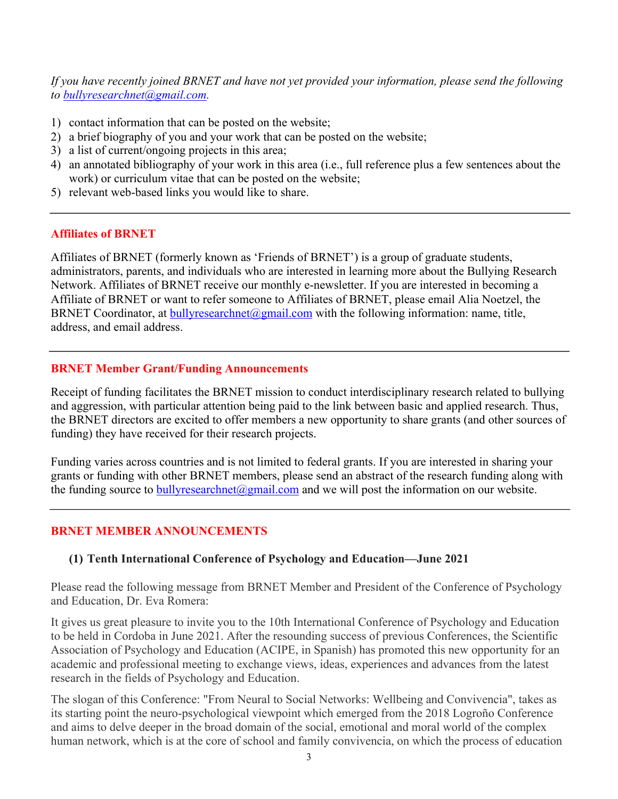*If you have recently joined BRNET and have not yet provided your information, please send the following to bullyresearchnet@gmail.com.*

- 1) contact information that can be posted on the website;
- 2) a brief biography of you and your work that can be posted on the website;
- 3) a list of current/ongoing projects in this area;
- 4) an annotated bibliography of your work in this area (i.e., full reference plus a few sentences about the work) or curriculum vitae that can be posted on the website;
- 5) relevant web-based links you would like to share.

## **Affiliates of BRNET**

Affiliates of BRNET (formerly known as 'Friends of BRNET') is a group of graduate students, administrators, parents, and individuals who are interested in learning more about the Bullying Research Network. Affiliates of BRNET receive our monthly e-newsletter. If you are interested in becoming a Affiliate of BRNET or want to refer someone to Affiliates of BRNET, please email Alia Noetzel, the BRNET Coordinator, at bullyresearchnet@gmail.com with the following information: name, title, address, and email address.

## **BRNET Member Grant/Funding Announcements**

Receipt of funding facilitates the BRNET mission to conduct interdisciplinary research related to bullying and aggression, with particular attention being paid to the link between basic and applied research. Thus, the BRNET directors are excited to offer members a new opportunity to share grants (and other sources of funding) they have received for their research projects.

Funding varies across countries and is not limited to federal grants. If you are interested in sharing your grants or funding with other BRNET members, please send an abstract of the research funding along with the funding source to bully research net  $\omega$  gmail.com and we will post the information on our website.

# **BRNET MEMBER ANNOUNCEMENTS**

# **(1) Tenth International Conference of Psychology and Education—June 2021**

Please read the following message from BRNET Member and President of the Conference of Psychology and Education, Dr. Eva Romera:

It gives us great pleasure to invite you to the 10th International Conference of Psychology and Education to be held in Cordoba in June 2021. After the resounding success of previous Conferences, the Scientific Association of Psychology and Education (ACIPE, in Spanish) has promoted this new opportunity for an academic and professional meeting to exchange views, ideas, experiences and advances from the latest research in the fields of Psychology and Education.

The slogan of this Conference: "From Neural to Social Networks: Wellbeing and Convivencia", takes as its starting point the neuro-psychological viewpoint which emerged from the 2018 Logroño Conference and aims to delve deeper in the broad domain of the social, emotional and moral world of the complex human network, which is at the core of school and family convivencia, on which the process of education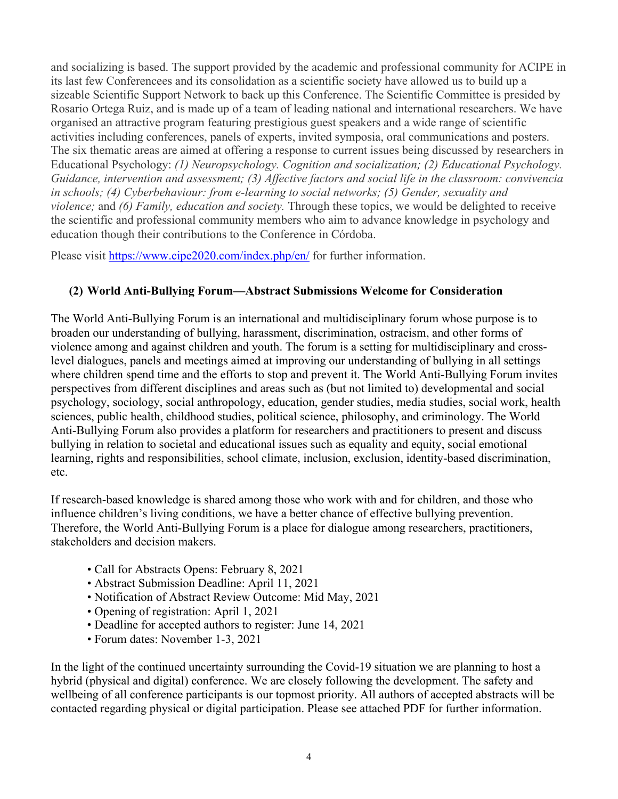and socializing is based. The support provided by the academic and professional community for ACIPE in its last few Conferencees and its consolidation as a scientific society have allowed us to build up a sizeable Scientific Support Network to back up this Conference. The Scientific Committee is presided by Rosario Ortega Ruiz, and is made up of a team of leading national and international researchers. We have organised an attractive program featuring prestigious guest speakers and a wide range of scientific activities including conferences, panels of experts, invited symposia, oral communications and posters. The six thematic areas are aimed at offering a response to current issues being discussed by researchers in Educational Psychology: *(1) Neuropsychology. Cognition and socialization; (2) Educational Psychology. Guidance, intervention and assessment; (3) Affective factors and social life in the classroom: convivencia in schools; (4) Cyberbehaviour: from e-learning to social networks; (5) Gender, sexuality and violence;* and *(6) Family, education and society.* Through these topics, we would be delighted to receive the scientific and professional community members who aim to advance knowledge in psychology and education though their contributions to the Conference in Córdoba.

Please visit https://www.cipe2020.com/index.php/en/ for further information.

# **(2) World Anti-Bullying Forum—Abstract Submissions Welcome for Consideration**

The World Anti-Bullying Forum is an international and multidisciplinary forum whose purpose is to broaden our understanding of bullying, harassment, discrimination, ostracism, and other forms of violence among and against children and youth. The forum is a setting for multidisciplinary and crosslevel dialogues, panels and meetings aimed at improving our understanding of bullying in all settings where children spend time and the efforts to stop and prevent it. The World Anti-Bullying Forum invites perspectives from different disciplines and areas such as (but not limited to) developmental and social psychology, sociology, social anthropology, education, gender studies, media studies, social work, health sciences, public health, childhood studies, political science, philosophy, and criminology. The World Anti-Bullying Forum also provides a platform for researchers and practitioners to present and discuss bullying in relation to societal and educational issues such as equality and equity, social emotional learning, rights and responsibilities, school climate, inclusion, exclusion, identity-based discrimination, etc.

If research-based knowledge is shared among those who work with and for children, and those who influence children's living conditions, we have a better chance of effective bullying prevention. Therefore, the World Anti-Bullying Forum is a place for dialogue among researchers, practitioners, stakeholders and decision makers.

- Call for Abstracts Opens: February 8, 2021
- Abstract Submission Deadline: April 11, 2021
- Notification of Abstract Review Outcome: Mid May, 2021
- Opening of registration: April 1, 2021
- Deadline for accepted authors to register: June 14, 2021
- Forum dates: November 1-3, 2021

In the light of the continued uncertainty surrounding the Covid-19 situation we are planning to host a hybrid (physical and digital) conference. We are closely following the development. The safety and wellbeing of all conference participants is our topmost priority. All authors of accepted abstracts will be contacted regarding physical or digital participation. Please see attached PDF for further information.